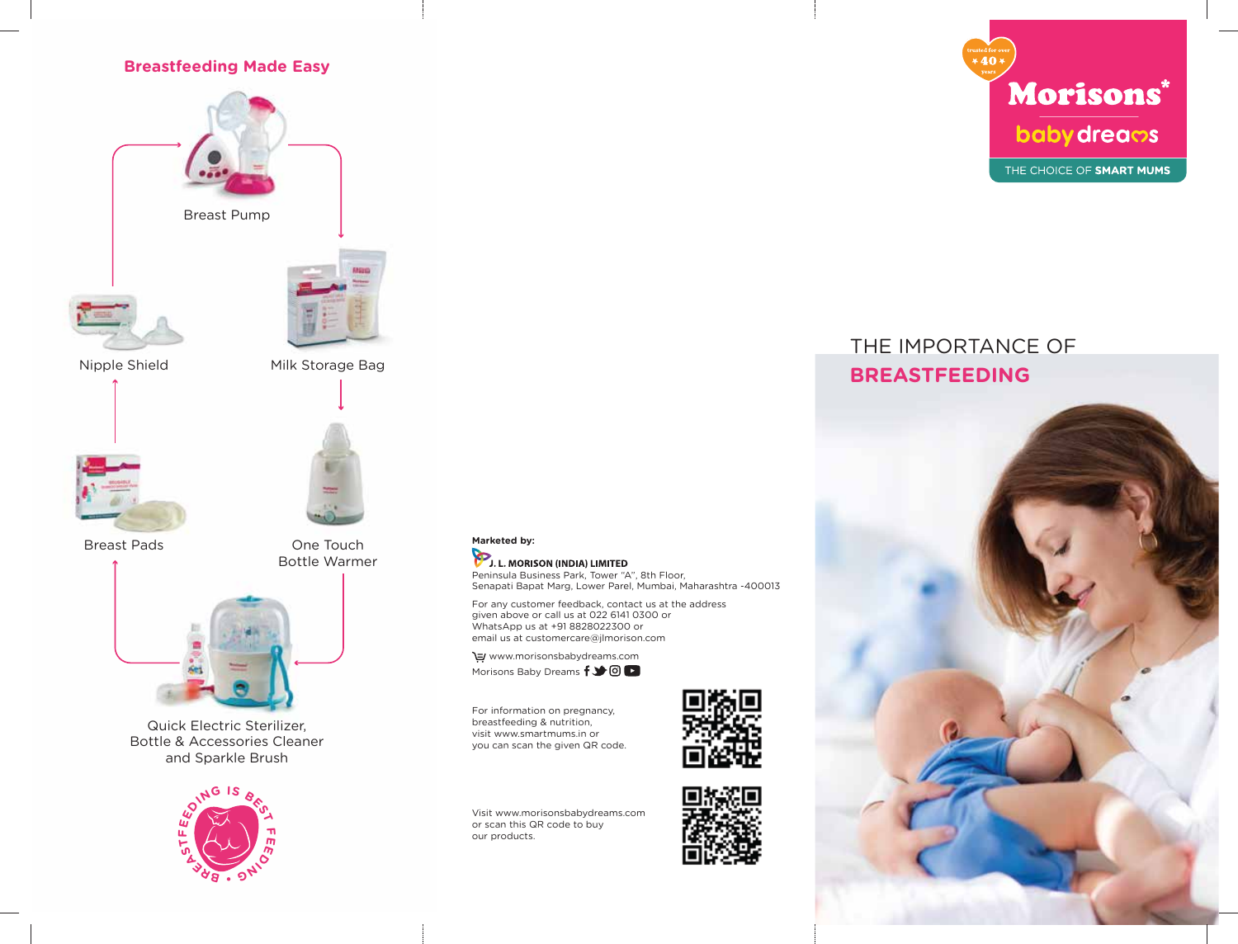## **Breastfeeding Made Easy**





Milk Storage Bag



Breast Pads



Quick Electric Sterilizer, Bottle & Accessories Cleaner and Sparkle Brush



One Touch Bottle Warmer



For any customer feedback, contact us at the address given above or call us at 022 6141 0300 or WhatsApp us at +91 8828022300 or email us at customercare@jlmorison.com

 www.morisonsbabydreams.com Morisons Baby Dreams  $f \rightarrow \textcircled{1}$ 

For information on pregnancy, breastfeeding & nutrition, visit www.smartmums.in or you can scan the given QR code.

Visit www.morisonsbabydreams.com or scan this QR code to buy our products.







# THE IMPORTANCE OF **BREASTFEEDING**